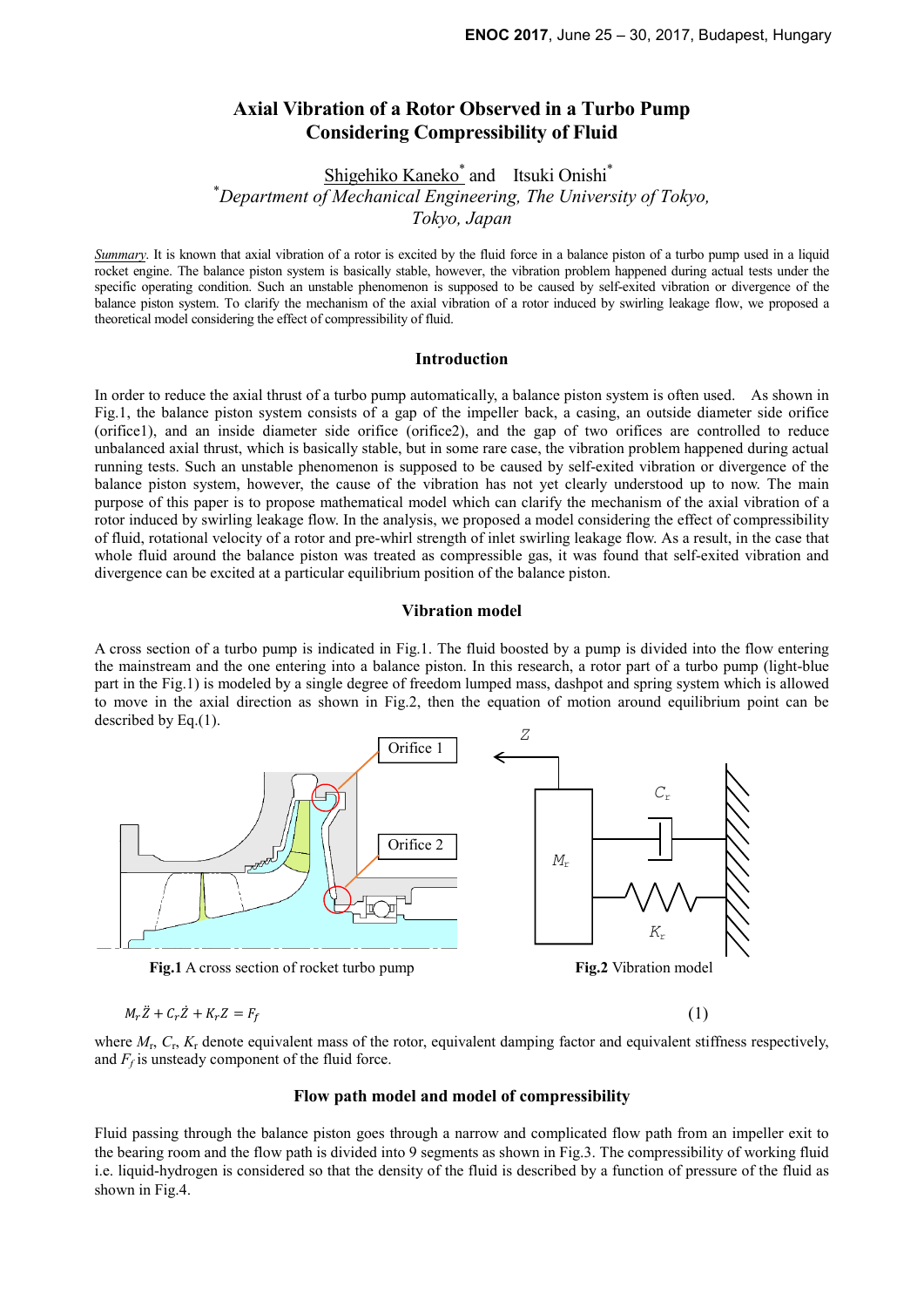# **Axial Vibration of a Rotor Observed in a Turbo Pump Considering Compressibility of Fluid**

Shigehiko Kaneko<sup>\*</sup> and Itsuki Onishi<sup>\*</sup> \**Department of Mechanical Engineering, The University of Tokyo, Tokyo, Japan*

*Summary*. It is known that axial vibration of a rotor is excited by the fluid force in a balance piston of a turbo pump used in a liquid rocket engine. The balance piston system is basically stable, however, the vibration problem happened during actual tests under the specific operating condition. Such an unstable phenomenon is supposed to be caused by self-exited vibration or divergence of the balance piston system. To clarify the mechanism of the axial vibration of a rotor induced by swirling leakage flow, we proposed a theoretical model considering the effect of compressibility of fluid.

#### **Introduction**

In order to reduce the axial thrust of a turbo pump automatically, a balance piston system is often used. As shown in Fig.1, the balance piston system consists of a gap of the impeller back, a casing, an outside diameter side orifice (orifice1), and an inside diameter side orifice (orifice2), and the gap of two orifices are controlled to reduce unbalanced axial thrust, which is basically stable, but in some rare case, the vibration problem happened during actual running tests. Such an unstable phenomenon is supposed to be caused by self-exited vibration or divergence of the balance piston system, however, the cause of the vibration has not yet clearly understood up to now. The main purpose of this paper is to propose mathematical model which can clarify the mechanism of the axial vibration of a rotor induced by swirling leakage flow. In the analysis, we proposed a model considering the effect of compressibility of fluid, rotational velocity of a rotor and pre-whirl strength of inlet swirling leakage flow. As a result, in the case that whole fluid around the balance piston was treated as compressible gas, it was found that self-exited vibration and divergence can be excited at a particular equilibrium position of the balance piston.

### **Vibration model**

A cross section of a turbo pump is indicated in Fig.1. The fluid boosted by a pump is divided into the flow entering the mainstream and the one entering into a balance piston. In this research, a rotor part of a turbo pump (light-blue part in the Fig.1) is modeled by a single degree of freedom lumped mass, dashpot and spring system which is allowed to move in the axial direction as shown in Fig.2, then the equation of motion around equilibrium point can be described by Eq.(1).



 $M_r \ddot{Z} + C_r \dot{Z} + K_r Z = F_i$  $\dot{f}_f$  (1)

where  $M_r$ ,  $C_r$ ,  $K_r$  denote equivalent mass of the rotor, equivalent damping factor and equivalent stiffness respectively, and  $F_f$  is unsteady component of the fluid force.

#### **Flow path model and model of compressibility**

Fluid passing through the balance piston goes through a narrow and complicated flow path from an impeller exit to the bearing room and the flow path is divided into 9 segments as shown in Fig.3. The compressibility of working fluid i.e. liquid-hydrogen is considered so that the density of the fluid is described by a function of pressure of the fluid as shown in Fig.4.